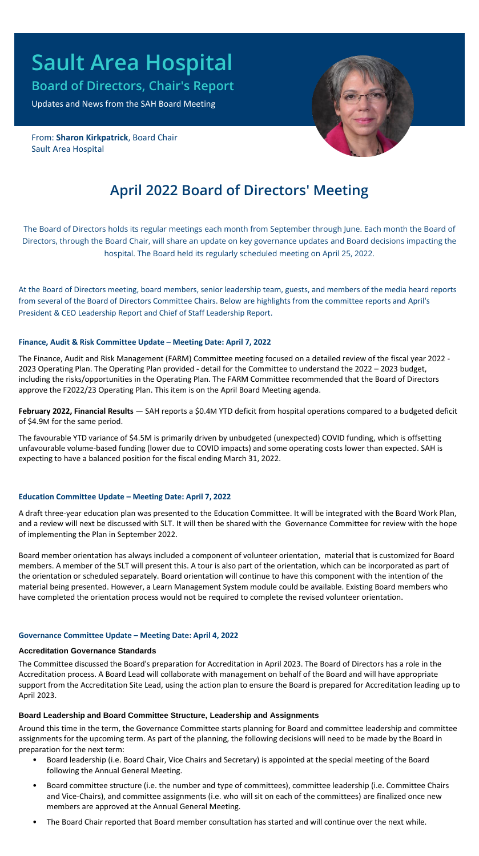# **Sault Area Hospital**

**Board of Directors, Chair's Report**

Updates and News from the SAH Board Meeting

From: **Sharon Kirkpatrick**, Board Chair Sault Area Hospital



# **April 2022 Board of Directors' Meeting**

The Board of Directors holds its regular meetings each month from September through June. Each month the Board of Directors, through the Board Chair, will share an update on key governance updates and Board decisions impacting the hospital. The Board held its regularly scheduled meeting on April 25, 2022.

At the Board of Directors meeting, board members, senior leadership team, guests, and members of the media heard reports from several of the Board of Directors Committee Chairs. Below are highlights from the committee reports and April's President & CEO Leadership Report and Chief of Staff Leadership Report.

## **Finance, Audit & Risk Committee Update – Meeting Date: April 7, 2022**

The Finance, Audit and Risk Management (FARM) Committee meeting focused on a detailed review of the fiscal year 2022 - 2023 Operating Plan. The Operating Plan provided - detail for the Committee to understand the 2022 – 2023 budget, including the risks/opportunities in the Operating Plan. The FARM Committee recommended that the Board of Directors approve the F2022/23 Operating Plan. This item is on the April Board Meeting agenda.

**February 2022, Financial Results** — SAH reports a \$0.4M YTD deficit from hospital operations compared to a budgeted deficit of \$4.9M for the same period.

The favourable YTD variance of \$4.5M is primarily driven by unbudgeted (unexpected) COVID funding, which is offsetting unfavourable volume-based funding (lower due to COVID impacts) and some operating costs lower than expected. SAH is expecting to have a balanced position for the fiscal ending March 31, 2022.

# **Education Committee Update – Meeting Date: April 7, 2022**

A draft three-year education plan was presented to the Education Committee. It will be integrated with the Board Work Plan, and a review will next be discussed with SLT. It will then be shared with the Governance Committee for review with the hope of implementing the Plan in September 2022.

Board member orientation has always included a component of volunteer orientation, material that is customized for Board members. A member of the SLT will present this. A tour is also part of the orientation, which can be incorporated as part of the orientation or scheduled separately. Board orientation will continue to have this component with the intention of the material being presented. However, a Learn Management System module could be available. Existing Board members who have completed the orientation process would not be required to complete the revised volunteer orientation.

## **Governance Committee Update – Meeting Date: April 4, 2022**

## **Accreditation Governance Standards**

The Committee discussed the Board's preparation for Accreditation in April 2023. The Board of Directors has a role in the Accreditation process. A Board Lead will collaborate with management on behalf of the Board and will have appropriate support from the Accreditation Site Lead, using the action plan to ensure the Board is prepared for Accreditation leading up to April 2023.

## **Board Leadership and Board Committee Structure, Leadership and Assignments**

Around this time in the term, the Governance Committee starts planning for Board and committee leadership and committee assignments for the upcoming term. As part of the planning, the following decisions will need to be made by the Board in preparation for the next term:

- Board leadership (i.e. Board Chair, Vice Chairs and Secretary) is appointed at the special meeting of the Board following the Annual General Meeting.
- Board committee structure (i.e. the number and type of committees), committee leadership (i.e. Committee Chairs and Vice-Chairs), and committee assignments (i.e. who will sit on each of the committees) are finalized once new members are approved at the Annual General Meeting.
- The Board Chair reported that Board member consultation has started and will continue over the next while.